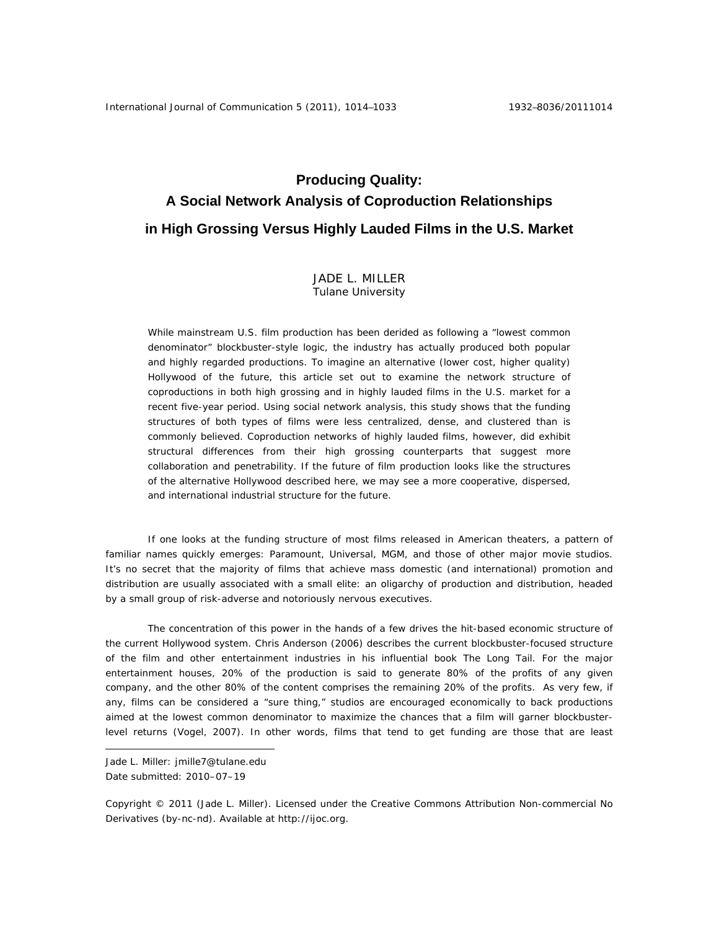# **Producing Quality: A Social Network Analysis of Coproduction Relationships in High Grossing Versus Highly Lauded Films in the U.S. Market**

## JADE L. MILLER Tulane University

While mainstream U.S. film production has been derided as following a "lowest common denominator" blockbuster-style logic, the industry has actually produced both popular and highly regarded productions. To imagine an alternative (lower cost, higher quality) Hollywood of the future, this article set out to examine the network structure of coproductions in both high grossing and in highly lauded films in the U.S. market for a recent five-year period. Using social network analysis, this study shows that the funding structures of both types of films were less centralized, dense, and clustered than is commonly believed. Coproduction networks of highly lauded films, however, did exhibit structural differences from their high grossing counterparts that suggest more collaboration and penetrability. If the future of film production looks like the structures of the alternative Hollywood described here, we may see a more cooperative, dispersed, and international industrial structure for the future.

 If one looks at the funding structure of most films released in American theaters, a pattern of familiar names quickly emerges: Paramount, Universal, MGM, and those of other major movie studios. It's no secret that the majority of films that achieve mass domestic (and international) promotion and distribution are usually associated with a small elite: an oligarchy of production and distribution, headed by a small group of risk-adverse and notoriously nervous executives.

The concentration of this power in the hands of a few drives the hit-based economic structure of the current Hollywood system. Chris Anderson (2006) describes the current blockbuster-focused structure of the film and other entertainment industries in his influential book *The Long Tail*. For the major entertainment houses, 20% of the production is said to generate 80% of the profits of any given company, and the other 80% of the content comprises the remaining 20% of the profits. As very few, if any, films can be considered a "sure thing," studios are encouraged economically to back productions aimed at the lowest common denominator to maximize the chances that a film will garner blockbusterlevel returns (Vogel, 2007). In other words, films that tend to get funding are those that are least

 $\overline{a}$ 

Jade L. Miller: jmille7@tulane.edu Date submitted: 2010–07–19

Copyright © 2011 (Jade L. Miller). Licensed under the Creative Commons Attribution Non-commercial No Derivatives (by-nc-nd). Available at http://ijoc.org.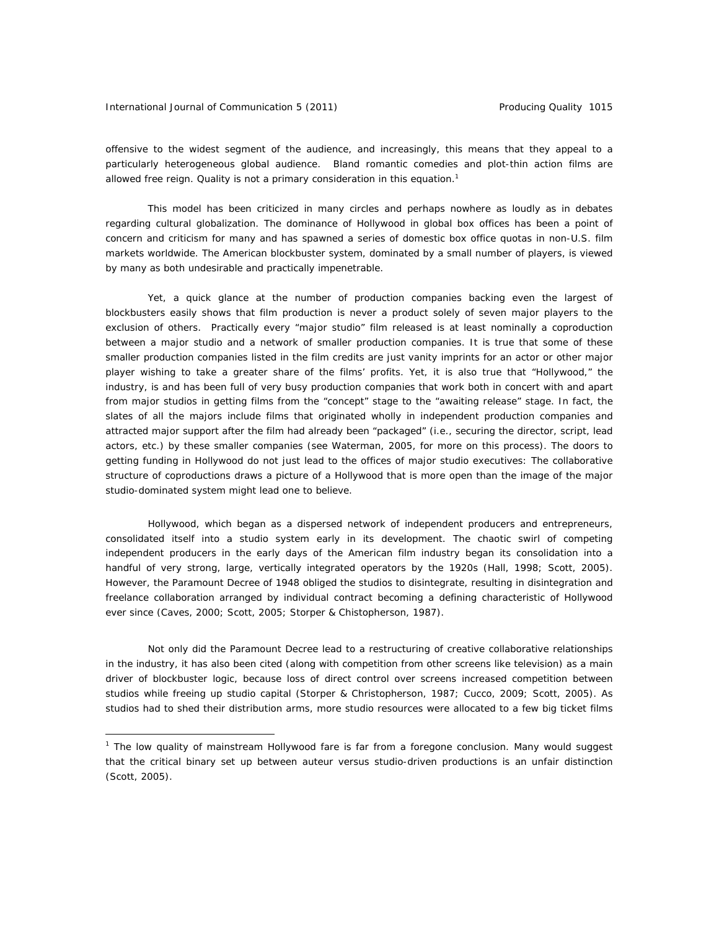#### International Journal of Communication 5 (2011) The Producing Quality 1015

 $\overline{a}$ 

offensive to the widest segment of the audience, and increasingly, this means that they appeal to a particularly heterogeneous global audience. Bland romantic comedies and plot-thin action films are allowed free reign. Quality is not a primary consideration in this equation.<sup>1</sup>

This model has been criticized in many circles and perhaps nowhere as loudly as in debates regarding cultural globalization. The dominance of Hollywood in global box offices has been a point of concern and criticism for many and has spawned a series of domestic box office quotas in non-U.S. film markets worldwide. The American blockbuster system, dominated by a small number of players, is viewed by many as both undesirable and practically impenetrable.

Yet, a quick glance at the number of production companies backing even the largest of blockbusters easily shows that film production is never a product solely of seven major players to the exclusion of others. Practically every "major studio" film released is at least nominally a coproduction between a major studio and a network of smaller production companies. It is true that some of these smaller production companies listed in the film credits are just vanity imprints for an actor or other major player wishing to take a greater share of the films' profits. Yet, it is also true that "Hollywood," the industry, is and has been full of very busy production companies that work both in concert with and apart from major studios in getting films from the "concept" stage to the "awaiting release" stage. In fact, the slates of all the majors include films that originated wholly in independent production companies and attracted major support after the film had already been "packaged" (i.e., securing the director, script, lead actors, etc.) by these smaller companies (see Waterman, 2005, for more on this process). The doors to getting funding in Hollywood do not just lead to the offices of major studio executives: The collaborative structure of coproductions draws a picture of a Hollywood that is more open than the image of the major studio-dominated system might lead one to believe.

Hollywood, which began as a dispersed network of independent producers and entrepreneurs, consolidated itself into a studio system early in its development. The chaotic swirl of competing independent producers in the early days of the American film industry began its consolidation into a handful of very strong, large, vertically integrated operators by the 1920s (Hall, 1998; Scott, 2005). However, the Paramount Decree of 1948 obliged the studios to disintegrate, resulting in disintegration and freelance collaboration arranged by individual contract becoming a defining characteristic of Hollywood ever since (Caves, 2000; Scott, 2005; Storper & Chistopherson, 1987).

Not only did the Paramount Decree lead to a restructuring of creative collaborative relationships in the industry, it has also been cited (along with competition from other screens like television) as a main driver of blockbuster logic, because loss of direct control over screens increased competition between studios while freeing up studio capital (Storper & Christopherson, 1987; Cucco, 2009; Scott, 2005). As studios had to shed their distribution arms, more studio resources were allocated to a few big ticket films

<sup>&</sup>lt;sup>1</sup> The low quality of mainstream Hollywood fare is far from a foregone conclusion. Many would suggest that the critical binary set up between auteur versus studio-driven productions is an unfair distinction (Scott, 2005).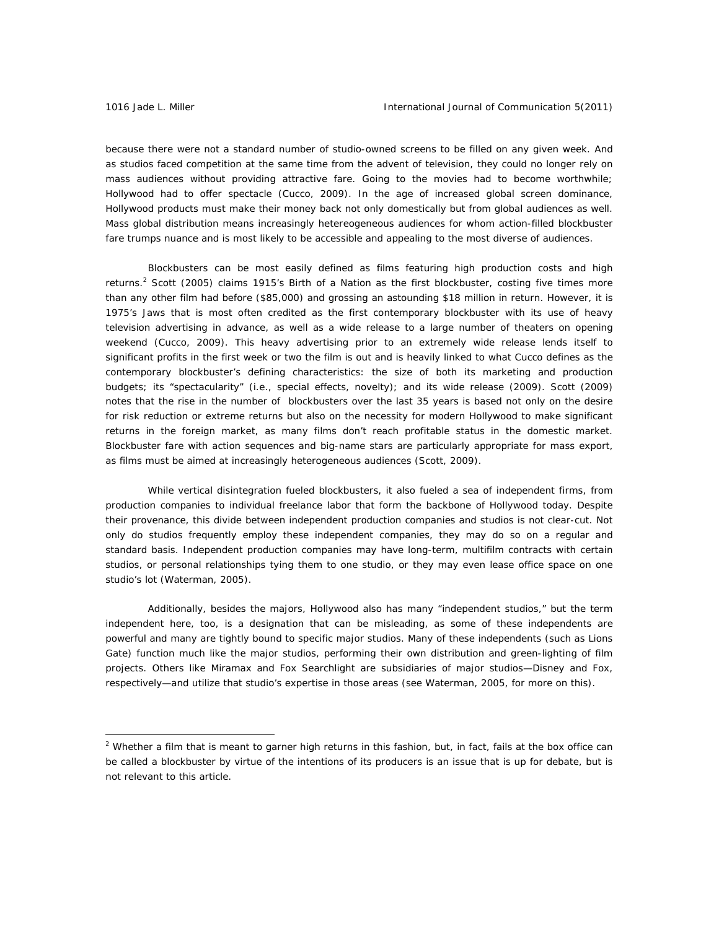because there were not a standard number of studio-owned screens to be filled on any given week. And as studios faced competition at the same time from the advent of television, they could no longer rely on mass audiences without providing attractive fare. Going to the movies had to become worthwhile; Hollywood had to offer spectacle (Cucco, 2009). In the age of increased global screen dominance, Hollywood products must make their money back not only domestically but from global audiences as well. Mass global distribution means increasingly hetereogeneous audiences for whom action-filled blockbuster fare trumps nuance and is most likely to be accessible and appealing to the most diverse of audiences.

Blockbusters can be most easily defined as films featuring high production costs and high returns.<sup>2</sup> Scott (2005) claims 1915's *Birth of a Nation* as the first blockbuster, costing five times more than any other film had before (\$85,000) and grossing an astounding \$18 million in return. However, it is 1975's *Jaws* that is most often credited as the first contemporary blockbuster with its use of heavy television advertising in advance, as well as a wide release to a large number of theaters on opening weekend (Cucco, 2009). This heavy advertising prior to an extremely wide release lends itself to significant profits in the first week or two the film is out and is heavily linked to what Cucco defines as the contemporary blockbuster's defining characteristics: the size of both its marketing and production budgets; its "spectacularity" (i.e., special effects, novelty); and its wide release (2009). Scott (2009) notes that the rise in the number of blockbusters over the last 35 years is based not only on the desire for risk reduction or extreme returns but also on the necessity for modern Hollywood to make significant returns in the foreign market, as many films don't reach profitable status in the domestic market. Blockbuster fare with action sequences and big-name stars are particularly appropriate for mass export, as films must be aimed at increasingly heterogeneous audiences (Scott, 2009).

While vertical disintegration fueled blockbusters, it also fueled a sea of independent firms, from production companies to individual freelance labor that form the backbone of Hollywood today. Despite their provenance, this divide between independent production companies and studios is not clear-cut. Not only do studios frequently employ these independent companies, they may do so on a regular and standard basis. Independent production companies may have long-term, multifilm contracts with certain studios, or personal relationships tying them to one studio, or they may even lease office space on one studio's lot (Waterman, 2005).

Additionally, besides the majors, Hollywood also has many "independent studios*,*" but the term *independent* here, too, is a designation that can be misleading, as some of these independents are powerful and many are tightly bound to specific major studios. Many of these independents (such as Lions Gate) function much like the major studios, performing their own distribution and green-lighting of film projects. Others like Miramax and Fox Searchlight are subsidiaries of major studios—Disney and Fox, respectively—and utilize that studio's expertise in those areas (see Waterman, 2005, for more on this).

<sup>&</sup>lt;sup>2</sup> Whether a film that is meant to garner high returns in this fashion, but, in fact, fails at the box office can be called a blockbuster by virtue of the intentions of its producers is an issue that is up for debate, but is not relevant to this article.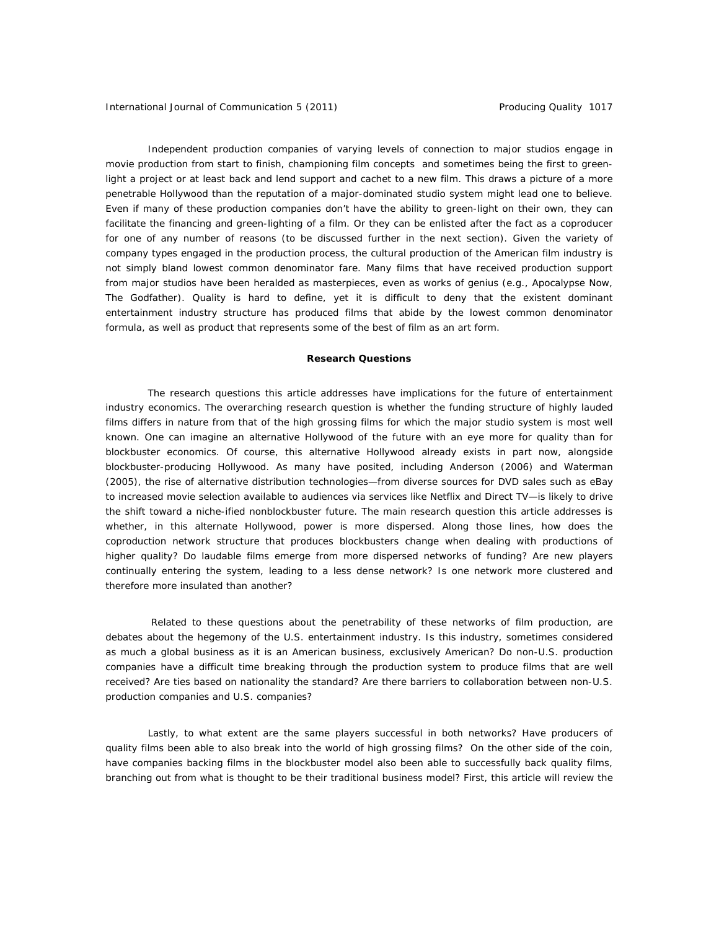Independent production companies of varying levels of connection to major studios engage in movie production from start to finish, championing film concepts and sometimes being the first to greenlight a project or at least back and lend support and cachet to a new film. This draws a picture of a more penetrable Hollywood than the reputation of a major-dominated studio system might lead one to believe. Even if many of these production companies don't have the ability to green-light on their own, they can facilitate the financing and green-lighting of a film. Or they can be enlisted after the fact as a coproducer for one of any number of reasons (to be discussed further in the next section). Given the variety of company types engaged in the production process, the cultural production of the American film industry is not simply bland lowest common denominator fare. Many films that have received production support from major studios have been heralded as masterpieces, even as works of genius (e.g., *Apocalypse Now, The Godfather*). Quality is hard to define, yet it is difficult to deny that the existent dominant entertainment industry structure has produced films that abide by the lowest common denominator formula, as well as product that represents some of the best of film as an art form.

#### **Research Questions**

The research questions this article addresses have implications for the future of entertainment industry economics. The overarching research question is whether the funding structure of highly lauded films differs in nature from that of the high grossing films for which the major studio system is most well known. One can imagine an alternative Hollywood of the future with an eye more for quality than for blockbuster economics. Of course, this alternative Hollywood already exists in part now, alongside blockbuster-producing Hollywood. As many have posited, including Anderson (2006) and Waterman (2005), the rise of alternative distribution technologies—from diverse sources for DVD sales such as eBay to increased movie selection available to audiences via services like Netflix and Direct TV—is likely to drive the shift toward a niche-ified nonblockbuster future. The main research question this article addresses is whether, in this alternate Hollywood, power is more dispersed. Along those lines, how does the coproduction network structure that produces blockbusters change when dealing with productions of higher quality? Do laudable films emerge from more dispersed networks of funding? Are new players continually entering the system, leading to a less dense network? Is one network more clustered and therefore more insulated than another?

Related to these questions about the penetrability of these networks of film production, are debates about the hegemony of the U.S. entertainment industry. Is this industry, sometimes considered as much a global business as it is an American business, exclusively American? Do non-U.S. production companies have a difficult time breaking through the production system to produce films that are well received? Are ties based on nationality the standard? Are there barriers to collaboration between non-U.S. production companies and U.S. companies?

Lastly, to what extent are the same players successful in both networks? Have producers of quality films been able to also break into the world of high grossing films? On the other side of the coin, have companies backing films in the blockbuster model also been able to successfully back quality films, branching out from what is thought to be their traditional business model? First, this article will review the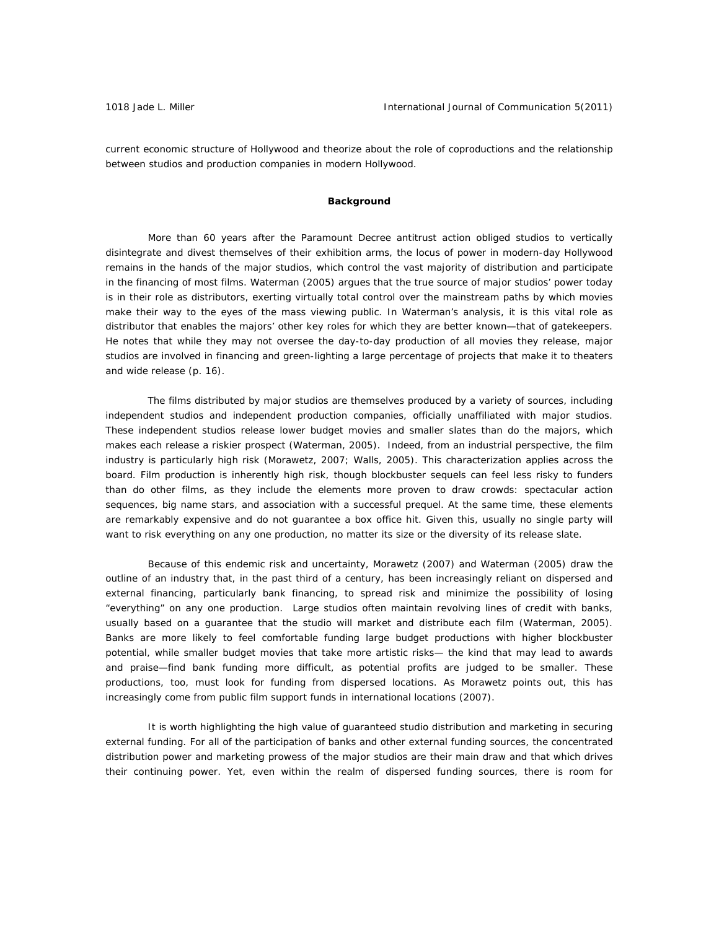current economic structure of Hollywood and theorize about the role of coproductions and the relationship between studios and production companies in modern Hollywood.

### **Background**

More than 60 years after the Paramount Decree antitrust action obliged studios to vertically disintegrate and divest themselves of their exhibition arms, the locus of power in modern-day Hollywood remains in the hands of the major studios, which control the vast majority of distribution and participate in the financing of most films. Waterman (2005) argues that the true source of major studios' power today is in their role as distributors, exerting virtually total control over the mainstream paths by which movies make their way to the eyes of the mass viewing public. In Waterman's analysis, it is this vital role as distributor that enables the majors' other key roles for which they are better known—that of gatekeepers. He notes that while they may not oversee the day-to-day production of all movies they release, major studios are involved in financing and green-lighting a large percentage of projects that make it to theaters and wide release (p. 16).

 The films distributed by major studios are themselves produced by a variety of sources, including independent studios and independent production companies, officially unaffiliated with major studios. These independent studios release lower budget movies and smaller slates than do the majors, which makes each release a riskier prospect (Waterman, 2005). Indeed, from an industrial perspective, the film industry is particularly high risk (Morawetz, 2007; Walls, 2005). This characterization applies across the board. Film production is inherently high risk, though blockbuster sequels can feel less risky to funders than do other films, as they include the elements more proven to draw crowds: spectacular action sequences, big name stars, and association with a successful prequel. At the same time, these elements are remarkably expensive and do not guarantee a box office hit. Given this, usually no single party will want to risk everything on any one production, no matter its size or the diversity of its release slate.

Because of this endemic risk and uncertainty, Morawetz (2007) and Waterman (2005) draw the outline of an industry that, in the past third of a century, has been increasingly reliant on dispersed and external financing, particularly bank financing, to spread risk and minimize the possibility of losing "everything" on any one production. Large studios often maintain revolving lines of credit with banks, usually based on a guarantee that the studio will market and distribute each film (Waterman, 2005). Banks are more likely to feel comfortable funding large budget productions with higher blockbuster potential, while smaller budget movies that take more artistic risks— the kind that may lead to awards and praise—find bank funding more difficult, as potential profits are judged to be smaller. These productions, too, must look for funding from dispersed locations. As Morawetz points out, this has increasingly come from public film support funds in international locations (2007).

It is worth highlighting the high value of guaranteed studio distribution and marketing in securing external funding. For all of the participation of banks and other external funding sources, the concentrated distribution power and marketing prowess of the major studios are their main draw and that which drives their continuing power. Yet, even within the realm of dispersed funding sources, there is room for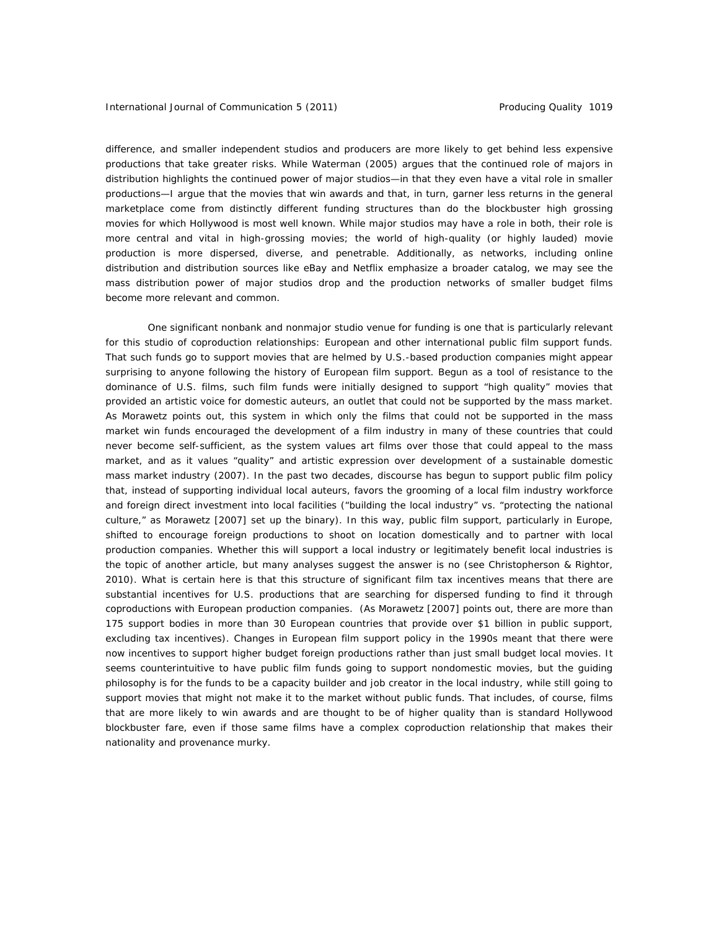difference, and smaller independent studios and producers are more likely to get behind less expensive productions that take greater risks. While Waterman (2005) argues that the continued role of majors in distribution highlights the continued power of major studios—in that they even have a vital role in smaller productions—I argue that the movies that win awards and that, in turn, garner less returns in the general marketplace come from distinctly different funding structures than do the blockbuster high grossing movies for which Hollywood is most well known. While major studios may have a role in both, their role is more central and vital in high-grossing movies; the world of high-quality (or highly lauded) movie production is more dispersed, diverse, and penetrable. Additionally, as networks, including online distribution and distribution sources like eBay and Netflix emphasize a broader catalog, we may see the mass distribution power of major studios drop and the production networks of smaller budget films become more relevant and common.

One significant nonbank and nonmajor studio venue for funding is one that is particularly relevant for this studio of coproduction relationships: European and other international public film support funds. That such funds go to support movies that are helmed by U.S.-based production companies might appear surprising to anyone following the history of European film support. Begun as a tool of resistance to the dominance of U.S. films, such film funds were initially designed to support "high quality" movies that provided an artistic voice for domestic auteurs, an outlet that could not be supported by the mass market. As Morawetz points out, this system in which only the films that could not be supported in the mass market win funds encouraged the development of a film industry in many of these countries that could never become self-sufficient, as the system values art films over those that could appeal to the mass market, and as it values "quality" and artistic expression over development of a sustainable domestic mass market industry (2007). In the past two decades, discourse has begun to support public film policy that, instead of supporting individual local auteurs, favors the grooming of a local film industry workforce and foreign direct investment into local facilities ("building the local industry" vs. "protecting the national culture," as Morawetz [2007] set up the binary). In this way, public film support, particularly in Europe, shifted to encourage foreign productions to shoot on location domestically and to partner with local production companies. Whether this will support a local industry or legitimately benefit local industries is the topic of another article, but many analyses suggest the answer is no (see Christopherson & Rightor, 2010). What is certain here is that this structure of significant film tax incentives means that there are substantial incentives for U.S. productions that are searching for dispersed funding to find it through coproductions with European production companies. (As Morawetz [2007] points out, there are more than 175 support bodies in more than 30 European countries that provide over \$1 billion in public support, excluding tax incentives). Changes in European film support policy in the 1990s meant that there were now incentives to support higher budget foreign productions rather than just small budget local movies. It seems counterintuitive to have public film funds going to support nondomestic movies, but the guiding philosophy is for the funds to be a capacity builder and job creator in the local industry, while still going to support movies that might not make it to the market without public funds. That includes, of course, films that are more likely to win awards and are thought to be of higher quality than is standard Hollywood blockbuster fare, even if those same films have a complex coproduction relationship that makes their nationality and provenance murky.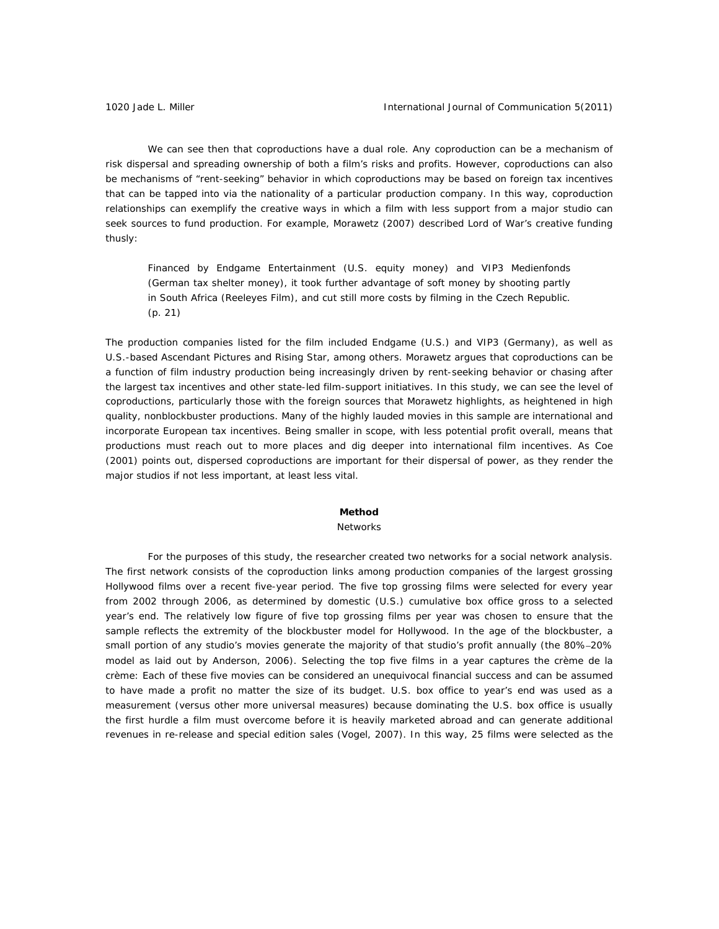We can see then that coproductions have a dual role. Any coproduction can be a mechanism of risk dispersal and spreading ownership of both a film's risks and profits. However, coproductions can also be mechanisms of "rent-seeking" behavior in which coproductions may be based on foreign tax incentives that can be tapped into via the nationality of a particular production company. In this way, coproduction relationships can exemplify the creative ways in which a film with less support from a major studio can seek sources to fund production. For example, Morawetz (2007) described *Lord of War*'s creative funding thusly:

Financed by Endgame Entertainment (U.S. equity money) and VIP3 Medienfonds (German tax shelter money), it took further advantage of soft money by shooting partly in South Africa (Reeleyes Film), and cut still more costs by filming in the Czech Republic. (p. 21)

The production companies listed for the film included Endgame (U.S.) and VIP3 (Germany), as well as U.S.-based Ascendant Pictures and Rising Star, among others. Morawetz argues that coproductions can be a function of film industry production being increasingly driven by rent-seeking behavior or chasing after the largest tax incentives and other state-led film-support initiatives. In this study, we can see the level of coproductions, particularly those with the foreign sources that Morawetz highlights, as heightened in high quality, nonblockbuster productions. Many of the highly lauded movies in this sample are international and incorporate European tax incentives. Being smaller in scope, with less potential profit overall, means that productions must reach out to more places and dig deeper into international film incentives. As Coe (2001) points out, dispersed coproductions are important for their dispersal of power, as they render the major studios if not less important, at least less vital.

## **Method**

#### *Networks*

 For the purposes of this study, the researcher created two networks for a social network analysis. The first network consists of the coproduction links among production companies of the largest grossing Hollywood films over a recent five-year period. The five top grossing films were selected for every year from 2002 through 2006, as determined by domestic (U.S.) cumulative box office gross to a selected year's end. The relatively low figure of five top grossing films per year was chosen to ensure that the sample reflects the extremity of the blockbuster model for Hollywood. In the age of the blockbuster, a small portion of any studio's movies generate the majority of that studio's profit annually (the 80%–20% model as laid out by Anderson, 2006). Selecting the top five films in a year captures the crème de la crème: Each of these five movies can be considered an unequivocal financial success and can be assumed to have made a profit no matter the size of its budget. U.S. box office to year's end was used as a measurement (versus other more universal measures) because dominating the U.S. box office is usually the first hurdle a film must overcome before it is heavily marketed abroad and can generate additional revenues in re-release and special edition sales (Vogel, 2007). In this way, 25 films were selected as the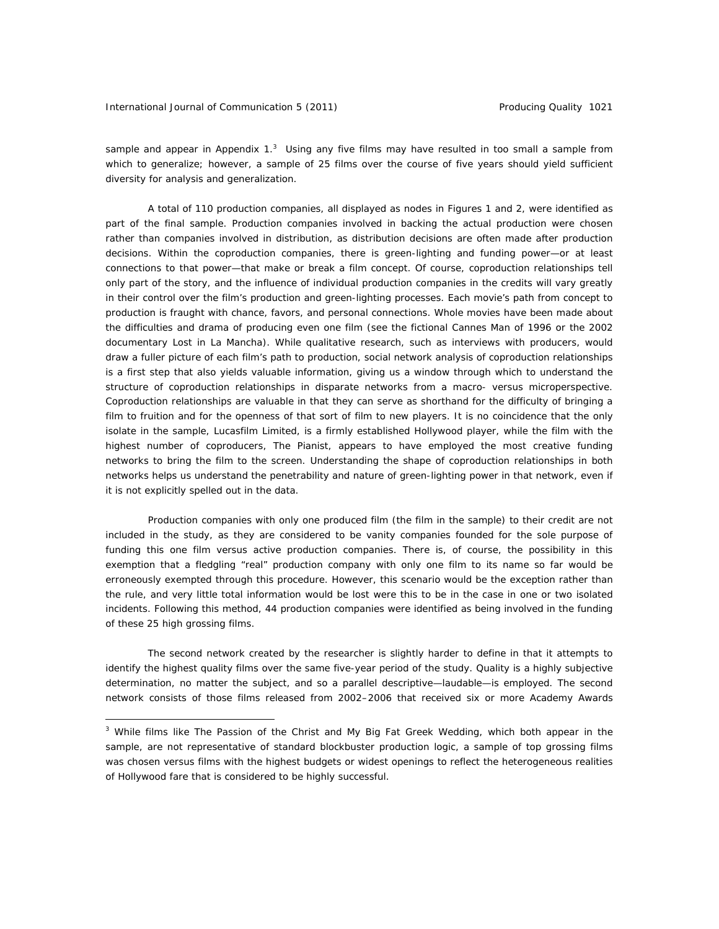sample and appear in Appendix  $1<sup>3</sup>$  Using any five films may have resulted in too small a sample from which to generalize; however, a sample of 25 films over the course of five years should yield sufficient diversity for analysis and generalization.

A total of 110 production companies, all displayed as nodes in Figures 1 and 2, were identified as part of the final sample. Production companies involved in backing the actual production were chosen rather than companies involved in distribution, as distribution decisions are often made after production decisions. Within the coproduction companies, there is green-lighting and funding power—or at least connections to that power—that make or break a film concept. Of course, coproduction relationships tell only part of the story, and the influence of individual production companies in the credits will vary greatly in their control over the film's production and green-lighting processes. Each movie's path from concept to production is fraught with chance, favors, and personal connections. Whole movies have been made about the difficulties and drama of producing even one film (see the fictional *Cannes Man* of 1996 or the 2002 documentary *Lost in La Mancha*). While qualitative research, such as interviews with producers, would draw a fuller picture of each film's path to production, social network analysis of coproduction relationships is a first step that also yields valuable information, giving us a window through which to understand the structure of coproduction relationships in disparate networks from a macro- versus microperspective. Coproduction relationships are valuable in that they can serve as shorthand for the difficulty of bringing a film to fruition and for the openness of that sort of film to new players. It is no coincidence that the only isolate in the sample, Lucasfilm Limited, is a firmly established Hollywood player, while the film with the highest number of coproducers, *The Pianist*, appears to have employed the most creative funding networks to bring the film to the screen. Understanding the shape of coproduction relationships in both networks helps us understand the penetrability and nature of green-lighting power in that network, even if it is not explicitly spelled out in the data.

Production companies with only one produced film (the film in the sample) to their credit are not included in the study, as they are considered to be vanity companies founded for the sole purpose of funding this one film versus active production companies. There is, of course, the possibility in this exemption that a fledgling "real" production company with only one film to its name so far would be erroneously exempted through this procedure. However, this scenario would be the exception rather than the rule, and very little total information would be lost were this to be in the case in one or two isolated incidents. Following this method, 44 production companies were identified as being involved in the funding of these 25 high grossing films.

 The second network created by the researcher is slightly harder to define in that it attempts to identify the highest quality films over the same five-year period of the study. Quality is a highly subjective determination, no matter the subject, and so a parallel descriptive—*laudable*—is employed. The second network consists of those films released from 2002–2006 that received six or more Academy Awards

<sup>3</sup> While films like *The Passion of the Christ* and *My Big Fat Greek Wedding*, which both appear in the sample, are not representative of standard blockbuster production logic, a sample of top grossing films was chosen versus films with the highest budgets or widest openings to reflect the heterogeneous realities of Hollywood fare that is considered to be highly successful.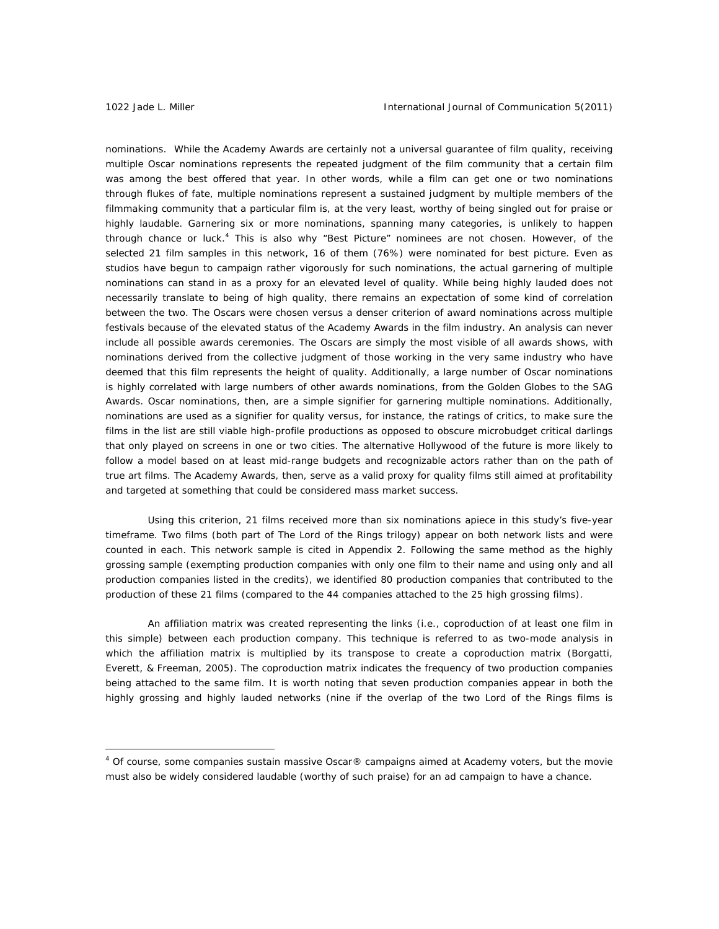nominations. While the Academy Awards are certainly not a universal guarantee of film quality, receiving multiple Oscar nominations represents the repeated judgment of the film community that a certain film was among the best offered that year. In other words, while a film can get one or two nominations through flukes of fate, multiple nominations represent a sustained judgment by multiple members of the filmmaking community that a particular film is, at the very least, worthy of being singled out for praise or highly laudable. Garnering six or more nominations, spanning many categories, is unlikely to happen through chance or luck.<sup>4</sup> This is also why "Best Picture" nominees are not chosen. However, of the selected 21 film samples in this network, 16 of them (76%) were nominated for best picture. Even as studios have begun to campaign rather vigorously for such nominations, the actual garnering of multiple nominations can stand in as a proxy for an elevated level of quality. While being highly lauded does not necessarily translate to being of high quality, there remains an expectation of some kind of correlation between the two. The Oscars were chosen versus a denser criterion of award nominations across multiple festivals because of the elevated status of the Academy Awards in the film industry. An analysis can never include all possible awards ceremonies. The Oscars are simply the most visible of all awards shows, with nominations derived from the collective judgment of those working in the very same industry who have deemed that this film represents the height of quality. Additionally, a large number of Oscar nominations is highly correlated with large numbers of other awards nominations, from the Golden Globes to the SAG Awards. Oscar nominations, then, are a simple signifier for garnering multiple nominations. Additionally, nominations are used as a signifier for quality versus, for instance, the ratings of critics, to make sure the films in the list are still viable high-profile productions as opposed to obscure microbudget critical darlings that only played on screens in one or two cities. The alternative Hollywood of the future is more likely to follow a model based on at least mid-range budgets and recognizable actors rather than on the path of true art films. The Academy Awards, then, serve as a valid proxy for quality films still aimed at profitability and targeted at something that could be considered mass market success.

Using this criterion, 21 films received more than six nominations apiece in this study's five-year timeframe. Two films (both part of *The Lord of the Rings* trilogy) appear on both network lists and were counted in each. This network sample is cited in Appendix 2. Following the same method as the highly grossing sample (exempting production companies with only one film to their name and using only and all production companies listed in the credits), we identified 80 production companies that contributed to the production of these 21 films (compared to the 44 companies attached to the 25 high grossing films).

An affiliation matrix was created representing the links (i.e., coproduction of at least one film in this simple) between each production company. This technique is referred to as two-mode analysis in which the affiliation matrix is multiplied by its transpose to create a coproduction matrix (Borgatti, Everett, & Freeman, 2005). The coproduction matrix indicates the frequency of two production companies being attached to the same film. It is worth noting that seven production companies appear in both the highly grossing and highly lauded networks (nine if the overlap of the two *Lord of the Rings* films is

<sup>&</sup>lt;sup>4</sup> Of course, some companies sustain massive Oscar® campaigns aimed at Academy voters, but the movie must also be widely considered laudable (worthy of such praise) for an ad campaign to have a chance.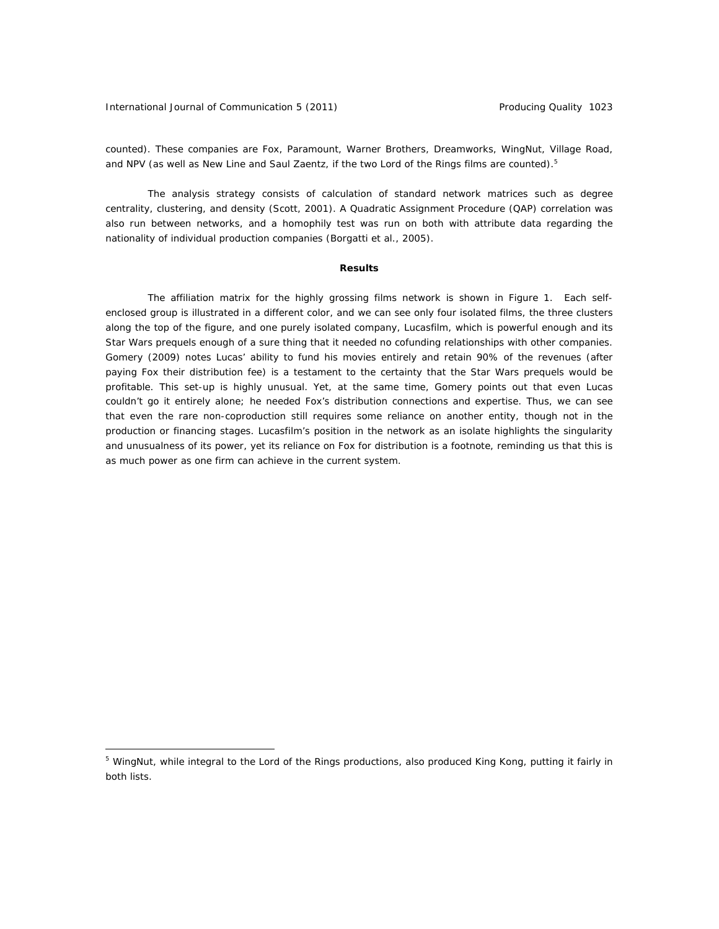International Journal of Communication 5 (2011) **Producing Quality 1023** 

 $\overline{a}$ 

counted). These companies are Fox, Paramount, Warner Brothers, Dreamworks, WingNut, Village Road, and NPV (as well as New Line and Saul Zaentz, if the two *Lord of the Rings* films are counted).<sup>5</sup>

 The analysis strategy consists of calculation of standard network matrices such as degree centrality, clustering, and density (Scott, 2001). A Quadratic Assignment Procedure (QAP) correlation was also run between networks, and a homophily test was run on both with attribute data regarding the nationality of individual production companies (Borgatti et al., 2005).

#### **Results**

The affiliation matrix for the highly grossing films network is shown in Figure 1. Each selfenclosed group is illustrated in a different color, and we can see only four isolated films, the three clusters along the top of the figure, and one purely isolated company, Lucasfilm, which is powerful enough and its *Star Wars* prequels enough of a sure thing that it needed no cofunding relationships with other companies. Gomery (2009) notes Lucas' ability to fund his movies entirely and retain 90% of the revenues (after paying Fox their distribution fee) is a testament to the certainty that the *Star Wars* prequels would be profitable. This set-up is highly unusual. Yet, at the same time, Gomery points out that even Lucas couldn't go it entirely alone; he needed Fox's distribution connections and expertise. Thus, we can see that even the rare non-coproduction still requires some reliance on another entity, though not in the production or financing stages. Lucasfilm's position in the network as an isolate highlights the singularity and unusualness of its power, yet its reliance on Fox for distribution is a footnote, reminding us that this is as much power as one firm can achieve in the current system.

<sup>5</sup> WingNut, while integral to the *Lord of the Rings* productions, also produced *King Kong*, putting it fairly in both lists.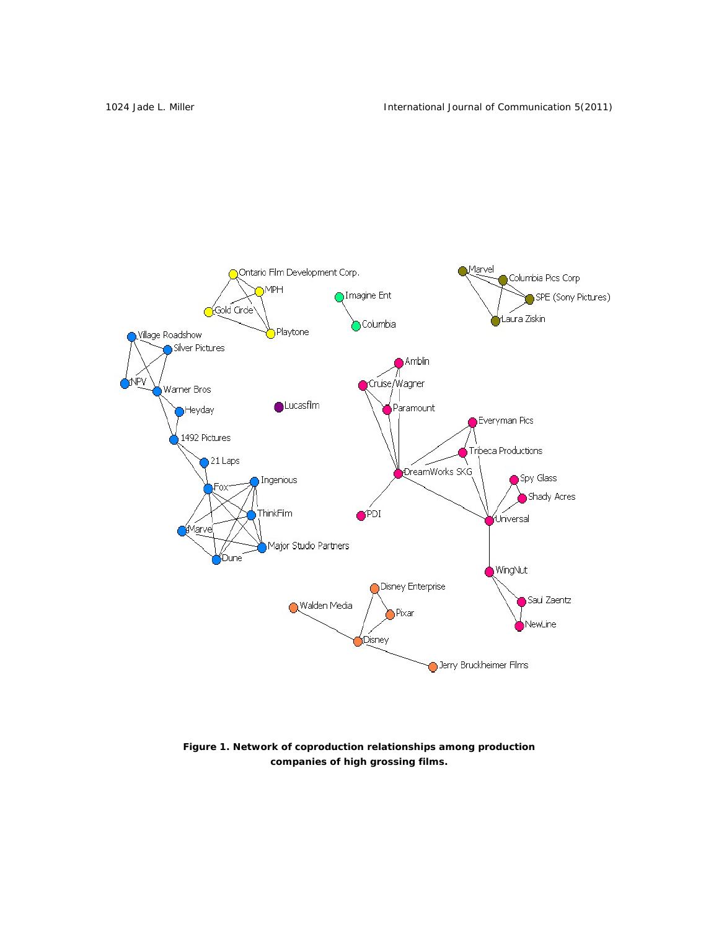

*Figure 1. Network of coproduction relationships among production companies of high grossing films.*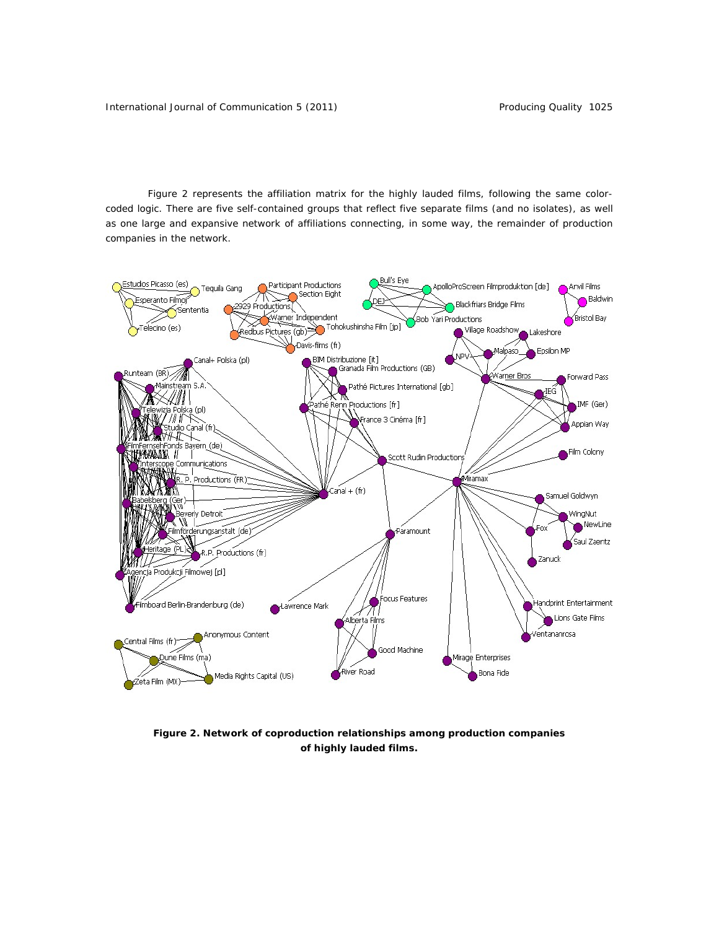Figure 2 represents the affiliation matrix for the highly lauded films, following the same colorcoded logic. There are five self-contained groups that reflect five separate films (and no isolates), as well as one large and expansive network of affiliations connecting, in some way, the remainder of production companies in the network.



*Figure 2. Network of coproduction relationships among production companies of highly lauded films.*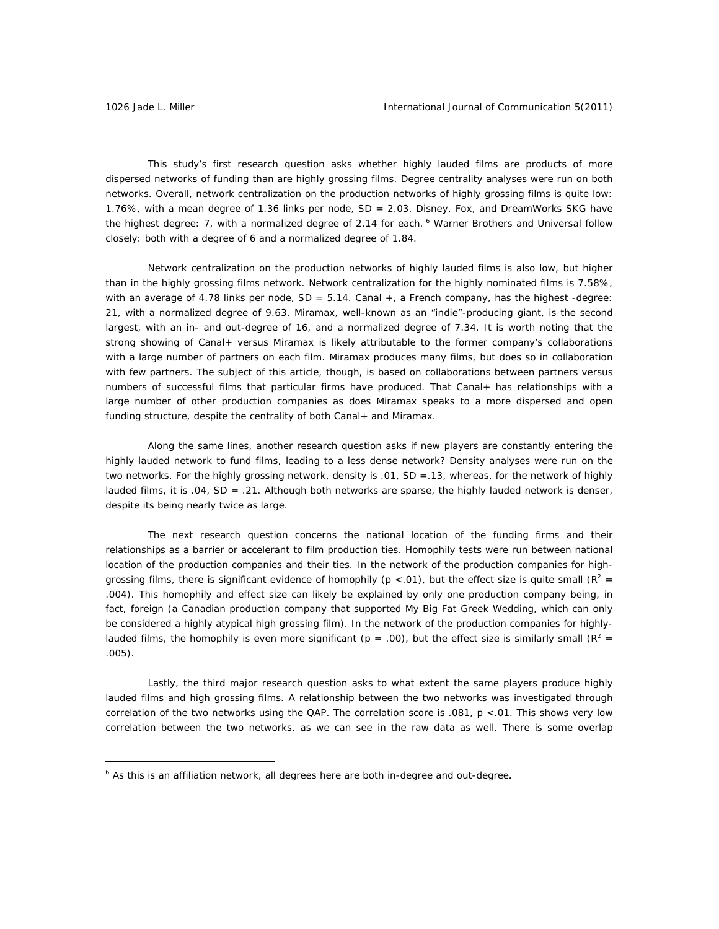This study's first research question asks whether highly lauded films are products of more dispersed networks of funding than are highly grossing films. Degree centrality analyses were run on both networks. Overall, network centralization on the production networks of highly grossing films is quite low: 1.76%, with a mean degree of 1.36 links per node, SD = 2.03. Disney, Fox, and DreamWorks SKG have the highest degree: 7, with a normalized degree of 2.14 for each. <sup>6</sup> Warner Brothers and Universal follow closely: both with a degree of 6 and a normalized degree of 1.84.

Network centralization on the production networks of highly lauded films is also low, but higher than in the highly grossing films network. Network centralization for the highly nominated films is 7.58%, with an average of 4.78 links per node,  $SD = 5.14$ . Canal  $+$ , a French company, has the highest -degree: 21, with a normalized degree of 9.63. Miramax, well-known as an "indie"-producing giant, is the second largest, with an in- and out-degree of 16, and a normalized degree of 7.34. It is worth noting that the strong showing of Canal+ versus Miramax is likely attributable to the former company's collaborations with a large number of partners on each film. Miramax produces many films, but does so in collaboration with few partners. The subject of this article, though, is based on collaborations between partners versus numbers of successful films that particular firms have produced. That Canal+ has relationships with a large number of other production companies as does Miramax speaks to a more dispersed and open funding structure, despite the centrality of both Canal+ and Miramax.

 Along the same lines, another research question asks if new players are constantly entering the highly lauded network to fund films, leading to a less dense network? Density analyses were run on the two networks. For the highly grossing network, density is .01, SD =.13, whereas, for the network of highly lauded films, it is .04, SD = .21. Although both networks are sparse, the highly lauded network is denser, despite its being nearly twice as large.

 The next research question concerns the national location of the funding firms and their relationships as a barrier or accelerant to film production ties. Homophily tests were run between national location of the production companies and their ties. In the network of the production companies for highgrossing films, there is significant evidence of homophily ( $p < 01$ ), but the effect size is quite small ( $R^2 =$ .004). This homophily and effect size can likely be explained by only one production company being, in fact, foreign (a Canadian production company that supported *My Big Fat Greek Wedding*, which can only be considered a highly atypical high grossing film). In the network of the production companies for highlylauded films, the homophily is even more significant ( $p = .00$ ), but the effect size is similarly small ( $R^2 =$ .005).

Lastly, the third major research question asks to what extent the same players produce highly lauded films and high grossing films. A relationship between the two networks was investigated through correlation of the two networks using the QAP. The correlation score is .081, *p* <.01. This shows very low correlation between the two networks, as we can see in the raw data as well. There is some overlap

 $6$  As this is an affiliation network, all degrees here are both in-degree and out-degree.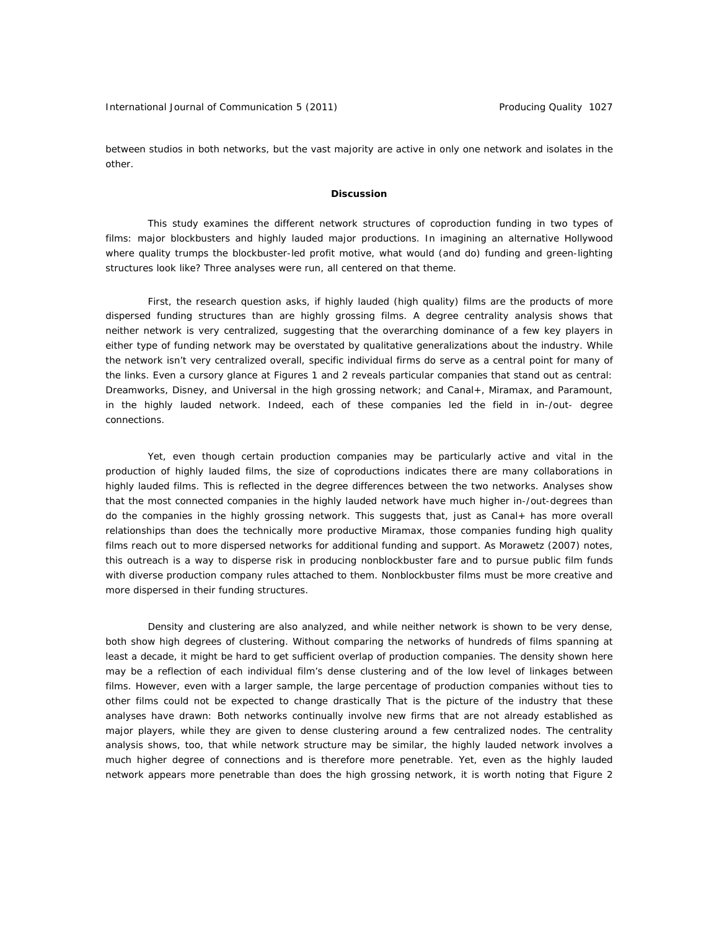between studios in both networks, but the vast majority are active in only one network and isolates in the other.

## **Discussion**

 This study examines the different network structures of coproduction funding in two types of films: major blockbusters and highly lauded major productions. In imagining an alternative Hollywood where quality trumps the blockbuster-led profit motive, what would (and do) funding and green-lighting structures look like? Three analyses were run, all centered on that theme.

First, the research question asks, if highly lauded (high quality) films are the products of more dispersed funding structures than are highly grossing films. A degree centrality analysis shows that neither network is very centralized, suggesting that the overarching dominance of a few key players in either type of funding network may be overstated by qualitative generalizations about the industry. While the network isn't very centralized overall, specific individual firms do serve as a central point for many of the links. Even a cursory glance at Figures 1 and 2 reveals particular companies that stand out as central: Dreamworks, Disney, and Universal in the high grossing network; and Canal+, Miramax, and Paramount, in the highly lauded network. Indeed, each of these companies led the field in in-/out- degree connections.

Yet, even though certain production companies may be particularly active and vital in the production of highly lauded films, the size of coproductions indicates there are many collaborations in highly lauded films. This is reflected in the degree differences between the two networks. Analyses show that the most connected companies in the highly lauded network have much higher in-/out-degrees than do the companies in the highly grossing network. This suggests that, just as Canal+ has more overall relationships than does the technically more productive Miramax, those companies funding high quality films reach out to more dispersed networks for additional funding and support. As Morawetz (2007) notes, this outreach is a way to disperse risk in producing nonblockbuster fare and to pursue public film funds with diverse production company rules attached to them. Nonblockbuster films must be more creative and more dispersed in their funding structures.

Density and clustering are also analyzed, and while neither network is shown to be very dense, both show high degrees of clustering. Without comparing the networks of hundreds of films spanning at least a decade, it might be hard to get sufficient overlap of production companies. The density shown here may be a reflection of each individual film's dense clustering and of the low level of linkages between films. However, even with a larger sample, the large percentage of production companies without ties to other films could not be expected to change drastically That is the picture of the industry that these analyses have drawn: Both networks continually involve new firms that are not already established as major players, while they are given to dense clustering around a few centralized nodes. The centrality analysis shows, too, that while network structure may be similar, the highly lauded network involves a much higher degree of connections and is therefore more penetrable. Yet, even as the highly lauded network appears more penetrable than does the high grossing network, it is worth noting that Figure 2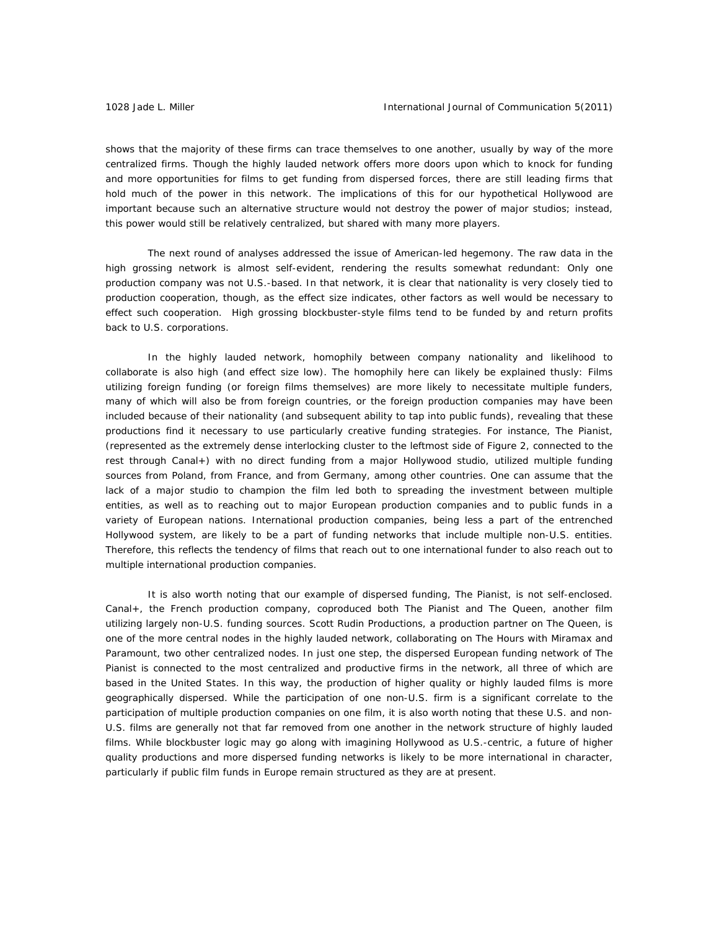shows that the majority of these firms can trace themselves to one another, usually by way of the more centralized firms. Though the highly lauded network offers more doors upon which to knock for funding and more opportunities for films to get funding from dispersed forces, there are still leading firms that hold much of the power in this network. The implications of this for our hypothetical Hollywood are important because such an alternative structure would not destroy the power of major studios; instead, this power would still be relatively centralized, but shared with many more players.

The next round of analyses addressed the issue of American-led hegemony. The raw data in the high grossing network is almost self-evident, rendering the results somewhat redundant: Only one production company was not U.S.-based. In that network, it is clear that nationality is very closely tied to production cooperation, though, as the effect size indicates, other factors as well would be necessary to effect such cooperation. High grossing blockbuster-style films tend to be funded by and return profits back to U.S. corporations.

In the highly lauded network, homophily between company nationality and likelihood to collaborate is also high (and effect size low). The homophily here can likely be explained thusly: Films utilizing foreign funding (or foreign films themselves) are more likely to necessitate multiple funders, many of which will also be from foreign countries, or the foreign production companies may have been included because of their nationality (and subsequent ability to tap into public funds), revealing that these productions find it necessary to use particularly creative funding strategies. For instance, *The Pianist*, (represented as the extremely dense interlocking cluster to the leftmost side of Figure 2, connected to the rest through Canal+) with no direct funding from a major Hollywood studio, utilized multiple funding sources from Poland, from France, and from Germany, among other countries. One can assume that the lack of a major studio to champion the film led both to spreading the investment between multiple entities, as well as to reaching out to major European production companies and to public funds in a variety of European nations. International production companies, being less a part of the entrenched Hollywood system, are likely to be a part of funding networks that include multiple non-U.S. entities. Therefore, this reflects the tendency of films that reach out to one international funder to also reach out to multiple international production companies.

It is also worth noting that our example of dispersed funding, *The Pianist*, is not self-enclosed. Canal+, the French production company, coproduced both *The Pianist* and *The Queen*, another film utilizing largely non-U.S. funding sources. Scott Rudin Productions, a production partner on *The Queen*, is one of the more central nodes in the highly lauded network, collaborating on *The Hours* with Miramax and Paramount, two other centralized nodes. In just one step, the dispersed European funding network of *The Pianist* is connected to the most centralized and productive firms in the network, all three of which are based in the United States. In this way, the production of higher quality or highly lauded films is more geographically dispersed. While the participation of one non-U.S. firm is a significant correlate to the participation of multiple production companies on one film, it is also worth noting that these U.S. and non-U.S. films are generally not that far removed from one another in the network structure of highly lauded films. While blockbuster logic may go along with imagining Hollywood as U.S.-centric, a future of higher quality productions and more dispersed funding networks is likely to be more international in character, particularly if public film funds in Europe remain structured as they are at present.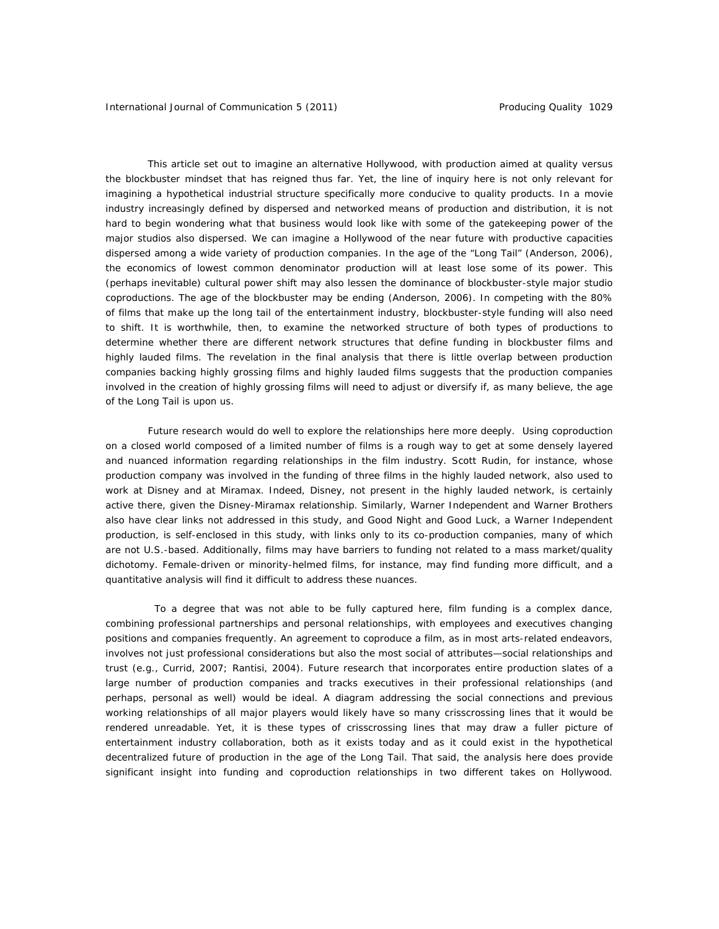This article set out to imagine an alternative Hollywood, with production aimed at quality versus the blockbuster mindset that has reigned thus far. Yet, the line of inquiry here is not only relevant for imagining a hypothetical industrial structure specifically more conducive to quality products. In a movie industry increasingly defined by dispersed and networked means of production and distribution, it is not hard to begin wondering what that business would look like with some of the gatekeeping power of the major studios also dispersed. We can imagine a Hollywood of the near future with productive capacities dispersed among a wide variety of production companies. In the age of the "Long Tail" (Anderson, 2006), the economics of lowest common denominator production will at least lose some of its power. This (perhaps inevitable) cultural power shift may also lessen the dominance of blockbuster-style major studio coproductions. The age of the blockbuster may be ending (Anderson, 2006). In competing with the 80% of films that make up the long tail of the entertainment industry, blockbuster-style funding will also need to shift. It is worthwhile, then, to examine the networked structure of both types of productions to determine whether there are different network structures that define funding in blockbuster films and highly lauded films. The revelation in the final analysis that there is little overlap between production companies backing highly grossing films and highly lauded films suggests that the production companies involved in the creation of highly grossing films will need to adjust or diversify if, as many believe, the age of the Long Tail is upon us.

 Future research would do well to explore the relationships here more deeply. Using coproduction on a closed world composed of a limited number of films is a rough way to get at some densely layered and nuanced information regarding relationships in the film industry. Scott Rudin, for instance, whose production company was involved in the funding of three films in the highly lauded network, also used to work at Disney and at Miramax. Indeed, Disney, not present in the highly lauded network, is certainly active there, given the Disney-Miramax relationship. Similarly, Warner Independent and Warner Brothers also have clear links not addressed in this study, and *Good Night and Good Luck*, a Warner Independent production, is self-enclosed in this study, with links only to its co-production companies, many of which are not U.S.-based. Additionally, films may have barriers to funding not related to a mass market/quality dichotomy. Female-driven or minority-helmed films, for instance, may find funding more difficult, and a quantitative analysis will find it difficult to address these nuances.

 To a degree that was not able to be fully captured here, film funding is a complex dance, combining professional partnerships and personal relationships, with employees and executives changing positions and companies frequently. An agreement to coproduce a film, as in most arts-related endeavors, involves not just professional considerations but also the most social of attributes—social relationships and trust (e.g., Currid, 2007; Rantisi, 2004). Future research that incorporates entire production slates of a large number of production companies and tracks executives in their professional relationships (and perhaps, personal as well) would be ideal. A diagram addressing the social connections and previous working relationships of all major players would likely have so many crisscrossing lines that it would be rendered unreadable. Yet, it is these types of crisscrossing lines that may draw a fuller picture of entertainment industry collaboration, both as it exists today and as it could exist in the hypothetical decentralized future of production in the age of the Long Tail. That said, the analysis here does provide significant insight into funding and coproduction relationships in two different takes on Hollywood.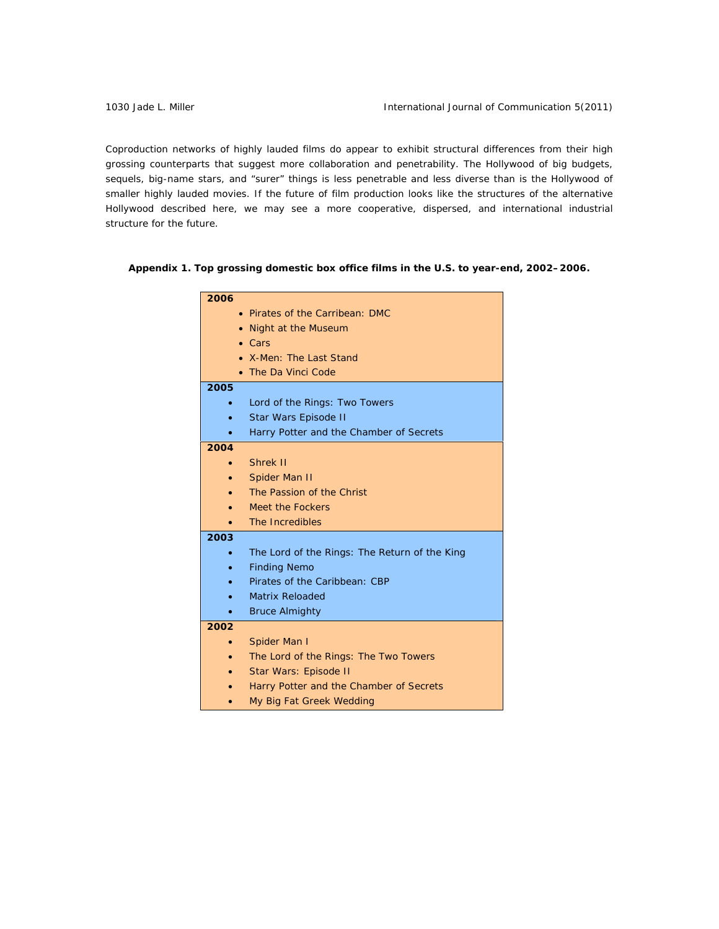Coproduction networks of highly lauded films do appear to exhibit structural differences from their high grossing counterparts that suggest more collaboration and penetrability. The Hollywood of big budgets, sequels, big-name stars, and "surer" things is less penetrable and less diverse than is the Hollywood of smaller highly lauded movies. If the future of film production looks like the structures of the alternative Hollywood described here, we may see a more cooperative, dispersed, and international industrial structure for the future.

*Appendix 1. Top grossing domestic box office films in the U.S. to year-end, 2002–2006.* 

| 2006      |                                               |
|-----------|-----------------------------------------------|
|           | Pirates of the Carribean: DMC                 |
|           | <b>Night at the Museum</b>                    |
|           | Cars                                          |
|           | X-Men: The Last Stand                         |
|           | The Da Vinci Code                             |
| 2005      |                                               |
| ٠         | Lord of the Rings: Two Towers                 |
| $\bullet$ | Star Wars Episode II                          |
|           | Harry Potter and the Chamber of Secrets       |
| 2004      |                                               |
|           | Shrek II                                      |
|           | Spider Man II                                 |
|           | The Passion of the Christ                     |
|           | <b>Meet the Fockers</b>                       |
|           | The Incredibles                               |
| 2003      |                                               |
| ٠         | The Lord of the Rings: The Return of the King |
|           | <b>Finding Nemo</b>                           |
|           | Pirates of the Caribbean: CBP                 |
|           | <b>Matrix Reloaded</b>                        |
|           | <b>Bruce Almighty</b>                         |
| 2002      |                                               |
| $\bullet$ | Spider Man I                                  |
|           | The Lord of the Rings: The Two Towers         |
|           | Star Wars: Episode II                         |
|           | Harry Potter and the Chamber of Secrets       |
|           | My Big Fat Greek Wedding                      |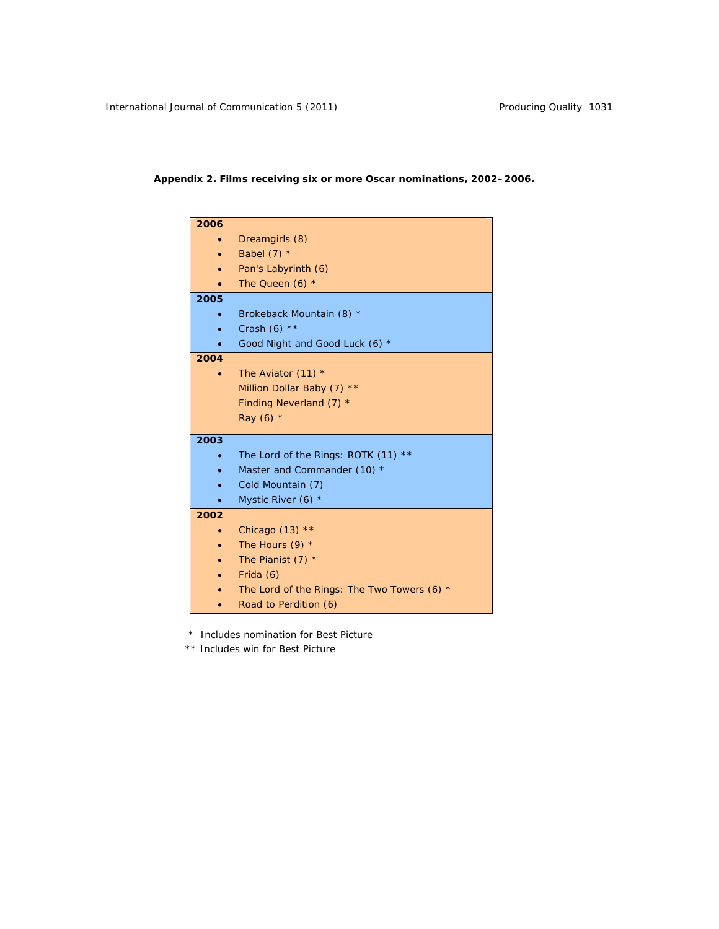# *Appendix 2. Films receiving six or more Oscar nominations, 2002–2006.*

| 2006 |                                               |
|------|-----------------------------------------------|
|      | Dreamgirls (8)                                |
|      | Babel $(7)$ *                                 |
|      | Pan's Labyrinth (6)                           |
|      | The Queen $(6)$ *                             |
| 2005 |                                               |
|      | Brokeback Mountain (8) *                      |
|      | Crash $(6)$ **                                |
|      | Good Night and Good Luck (6) *                |
| 2004 |                                               |
|      | The Aviator $(11)$ *                          |
|      | Million Dollar Baby (7) **                    |
|      | Finding Neverland $(7)$ *                     |
|      | <i>Ray</i> (6) $*$                            |
| 2003 |                                               |
|      | The Lord of the Rings: ROTK (11) **           |
|      | Master and Commander (10) *                   |
|      | Cold Mountain (7)                             |
|      | Mystic River (6) $*$                          |
| 2002 |                                               |
|      | Chicago $(13)$ **                             |
|      | The Hours $(9)$ *                             |
|      | The Pianist $(7)$ *                           |
|      | Frida (6)                                     |
|      | The Lord of the Rings: The Two Towers (6) $*$ |
|      | Road to Perdition (6)                         |
|      |                                               |

\* Includes nomination for Best Picture

\*\* Includes win for Best Picture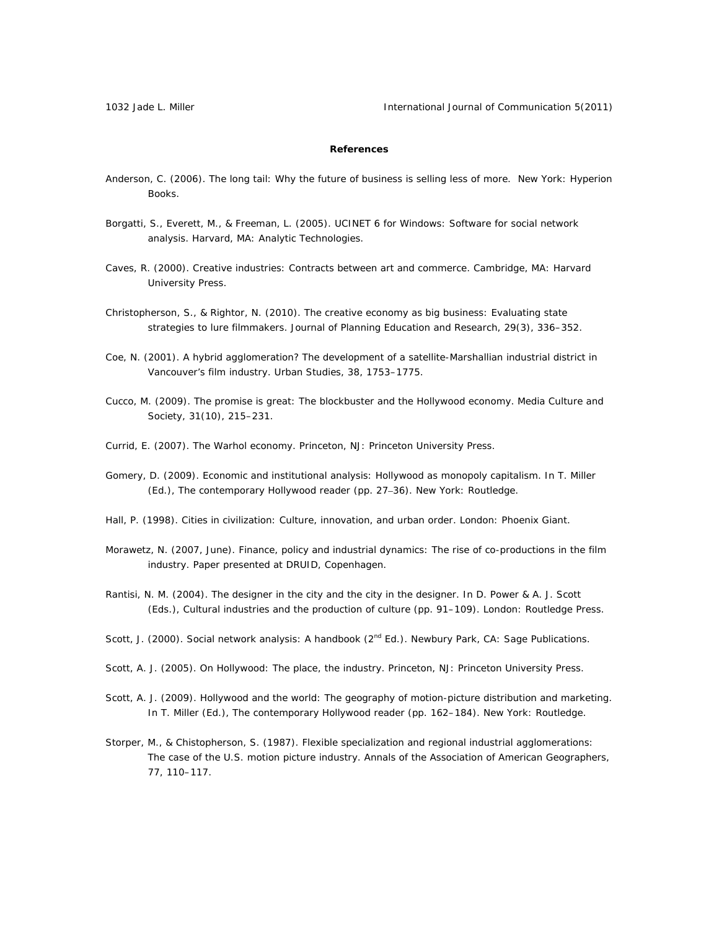1032 Jade L. Miller **International Journal of Communication 5(2011)** International Journal of Communication 5(2011)

## **References**

- Anderson, C. (2006). *The long tail: Why the future of business is selling less of more*. New York: Hyperion Books.
- Borgatti, S., Everett, M., & Freeman, L. (2005*). UCINET 6 for Windows: Software for social network analysis.* Harvard, MA: Analytic Technologies.
- Caves, R. (2000). *Creative industries: Contracts between art and commerce*. Cambridge, MA: Harvard University Press.
- Christopherson, S., & Rightor, N. (2010). The creative economy as big business: Evaluating state strategies to lure filmmakers. *Journal of Planning Education and Research, 29*(3), 336–352.
- Coe, N. (2001). A hybrid agglomeration? The development of a satellite-Marshallian industrial district in Vancouver's film industry. *Urban Studies, 38,* 1753–1775.
- Cucco, M. (2009). The promise is great: The blockbuster and the Hollywood economy. *Media Culture and Society, 31*(10), 215–231.
- Currid, E. (2007). *The Warhol economy*. Princeton, NJ: Princeton University Press.
- Gomery, D. (2009). Economic and institutional analysis: Hollywood as monopoly capitalism. In T. Miller (Ed.), *The contemporary Hollywood reader* (pp. 27–36). New York: Routledge.
- Hall, P. (1998). *Cities in civilization: Culture, innovation, and urban order*. London: Phoenix Giant.
- Morawetz, N. (2007, June). *Finance, policy and industrial dynamics: The rise of co-productions in the film industry*. Paper presented at DRUID, Copenhagen.
- Rantisi, N. M. (2004). The designer in the city and the city in the designer. In D. Power & A. J. Scott (Eds.), *Cultural industries and the production of culture* (pp. 91–109). London: Routledge Press.
- Scott, J. (2000). *Social network analysis: A handbook* (2<sup>nd</sup> Ed.). Newbury Park, CA: Sage Publications.
- Scott, A. J. (2005). *On Hollywood: The place, the industry*. Princeton, NJ: Princeton University Press.
- Scott, A. J. (2009). Hollywood and the world: The geography of motion-picture distribution and marketing. In T. Miller (Ed.), *The contemporary Hollywood reader* (pp. 162–184). New York: Routledge.
- Storper, M., & Chistopherson, S. (1987). Flexible specialization and regional industrial agglomerations: The case of the U.S. motion picture industry. *Annals of the Association of American Geographers, 77,* 110–117.